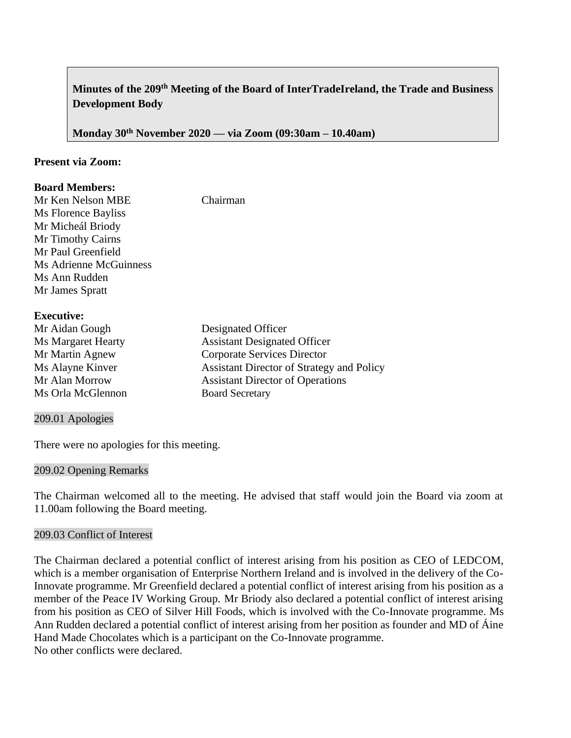# **Minutes of the 209th Meeting of the Board of InterTradeIreland, the Trade and Business Development Body**

**Monday 30th November 2020 –– via Zoom (09:30am – 10.40am)**

### **Present via Zoom:**

### **Board Members:**

Mr Ken Nelson MBE Chairman Ms Florence Bayliss Mr Micheál Briody Mr Timothy Cairns Mr Paul Greenfield Ms Adrienne McGuinness Ms Ann Rudden Mr James Spratt

### **Executive:**

| Mr Aidan Gough            | Designated Officer                               |
|---------------------------|--------------------------------------------------|
| <b>Ms Margaret Hearty</b> | <b>Assistant Designated Officer</b>              |
| Mr Martin Agnew           | Corporate Services Director                      |
| Ms Alayne Kinver          | <b>Assistant Director of Strategy and Policy</b> |
| Mr Alan Morrow            | <b>Assistant Director of Operations</b>          |
| Ms Orla McGlennon         | <b>Board Secretary</b>                           |
|                           |                                                  |

### 209.01 Apologies

There were no apologies for this meeting.

### 209.02 Opening Remarks

The Chairman welcomed all to the meeting. He advised that staff would join the Board via zoom at 11.00am following the Board meeting.

### 209.03 Conflict of Interest

The Chairman declared a potential conflict of interest arising from his position as CEO of LEDCOM, which is a member organisation of Enterprise Northern Ireland and is involved in the delivery of the Co-Innovate programme. Mr Greenfield declared a potential conflict of interest arising from his position as a member of the Peace IV Working Group. Mr Briody also declared a potential conflict of interest arising from his position as CEO of Silver Hill Foods, which is involved with the Co-Innovate programme. Ms Ann Rudden declared a potential conflict of interest arising from her position as founder and MD of Áine Hand Made Chocolates which is a participant on the Co-Innovate programme. No other conflicts were declared.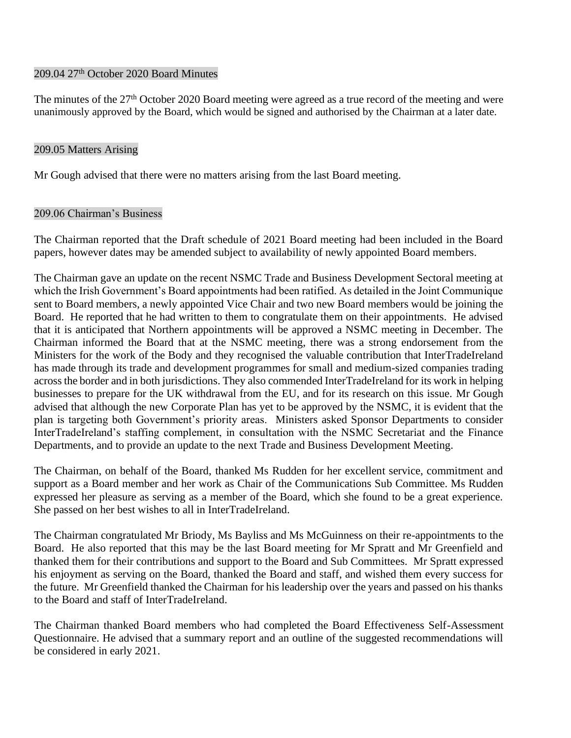### 209.04 27<sup>th</sup> October 2020 Board Minutes

The minutes of the 27<sup>th</sup> October 2020 Board meeting were agreed as a true record of the meeting and were unanimously approved by the Board, which would be signed and authorised by the Chairman at a later date.

### 209.05 Matters Arising

Mr Gough advised that there were no matters arising from the last Board meeting.

### 209.06 Chairman's Business

The Chairman reported that the Draft schedule of 2021 Board meeting had been included in the Board papers, however dates may be amended subject to availability of newly appointed Board members.

The Chairman gave an update on the recent NSMC Trade and Business Development Sectoral meeting at which the Irish Government's Board appointments had been ratified. As detailed in the Joint Communique sent to Board members, a newly appointed Vice Chair and two new Board members would be joining the Board. He reported that he had written to them to congratulate them on their appointments. He advised that it is anticipated that Northern appointments will be approved a NSMC meeting in December. The Chairman informed the Board that at the NSMC meeting, there was a strong endorsement from the Ministers for the work of the Body and they recognised the valuable contribution that InterTradeIreland has made through its trade and development programmes for small and medium-sized companies trading across the border and in both jurisdictions. They also commended InterTradeIreland for its work in helping businesses to prepare for the UK withdrawal from the EU, and for its research on this issue. Mr Gough advised that although the new Corporate Plan has yet to be approved by the NSMC, it is evident that the plan is targeting both Government's priority areas. Ministers asked Sponsor Departments to consider InterTradeIreland's staffing complement, in consultation with the NSMC Secretariat and the Finance Departments, and to provide an update to the next Trade and Business Development Meeting.

The Chairman, on behalf of the Board, thanked Ms Rudden for her excellent service, commitment and support as a Board member and her work as Chair of the Communications Sub Committee. Ms Rudden expressed her pleasure as serving as a member of the Board, which she found to be a great experience. She passed on her best wishes to all in InterTradeIreland.

The Chairman congratulated Mr Briody, Ms Bayliss and Ms McGuinness on their re-appointments to the Board. He also reported that this may be the last Board meeting for Mr Spratt and Mr Greenfield and thanked them for their contributions and support to the Board and Sub Committees. Mr Spratt expressed his enjoyment as serving on the Board, thanked the Board and staff, and wished them every success for the future. Mr Greenfield thanked the Chairman for his leadership over the years and passed on his thanks to the Board and staff of InterTradeIreland.

The Chairman thanked Board members who had completed the Board Effectiveness Self-Assessment Questionnaire. He advised that a summary report and an outline of the suggested recommendations will be considered in early 2021.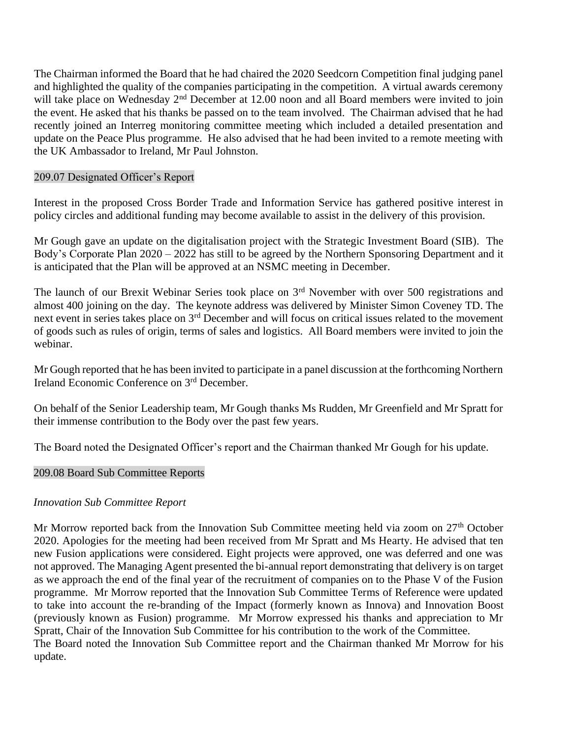The Chairman informed the Board that he had chaired the 2020 Seedcorn Competition final judging panel and highlighted the quality of the companies participating in the competition. A virtual awards ceremony will take place on Wednesday 2<sup>nd</sup> December at 12.00 noon and all Board members were invited to join the event. He asked that his thanks be passed on to the team involved. The Chairman advised that he had recently joined an Interreg monitoring committee meeting which included a detailed presentation and update on the Peace Plus programme. He also advised that he had been invited to a remote meeting with the UK Ambassador to Ireland, Mr Paul Johnston.

### 209.07 Designated Officer's Report

Interest in the proposed Cross Border Trade and Information Service has gathered positive interest in policy circles and additional funding may become available to assist in the delivery of this provision.

Mr Gough gave an update on the digitalisation project with the Strategic Investment Board (SIB). The Body's Corporate Plan 2020 – 2022 has still to be agreed by the Northern Sponsoring Department and it is anticipated that the Plan will be approved at an NSMC meeting in December.

The launch of our Brexit Webinar Series took place on 3<sup>rd</sup> November with over 500 registrations and almost 400 joining on the day. The keynote address was delivered by Minister Simon Coveney TD. The next event in series takes place on 3rd December and will focus on critical issues related to the movement of goods such as rules of origin, terms of sales and logistics. All Board members were invited to join the webinar.

Mr Gough reported that he has been invited to participate in a panel discussion at the forthcoming Northern Ireland Economic Conference on 3rd December.

On behalf of the Senior Leadership team, Mr Gough thanks Ms Rudden, Mr Greenfield and Mr Spratt for their immense contribution to the Body over the past few years.

The Board noted the Designated Officer's report and the Chairman thanked Mr Gough for his update.

## 209.08 Board Sub Committee Reports

## *Innovation Sub Committee Report*

Mr Morrow reported back from the Innovation Sub Committee meeting held via zoom on 27<sup>th</sup> October 2020. Apologies for the meeting had been received from Mr Spratt and Ms Hearty. He advised that ten new Fusion applications were considered. Eight projects were approved, one was deferred and one was not approved. The Managing Agent presented the bi-annual report demonstrating that delivery is on target as we approach the end of the final year of the recruitment of companies on to the Phase V of the Fusion programme. Mr Morrow reported that the Innovation Sub Committee Terms of Reference were updated to take into account the re-branding of the Impact (formerly known as Innova) and Innovation Boost (previously known as Fusion) programme. Mr Morrow expressed his thanks and appreciation to Mr Spratt, Chair of the Innovation Sub Committee for his contribution to the work of the Committee. The Board noted the Innovation Sub Committee report and the Chairman thanked Mr Morrow for his update.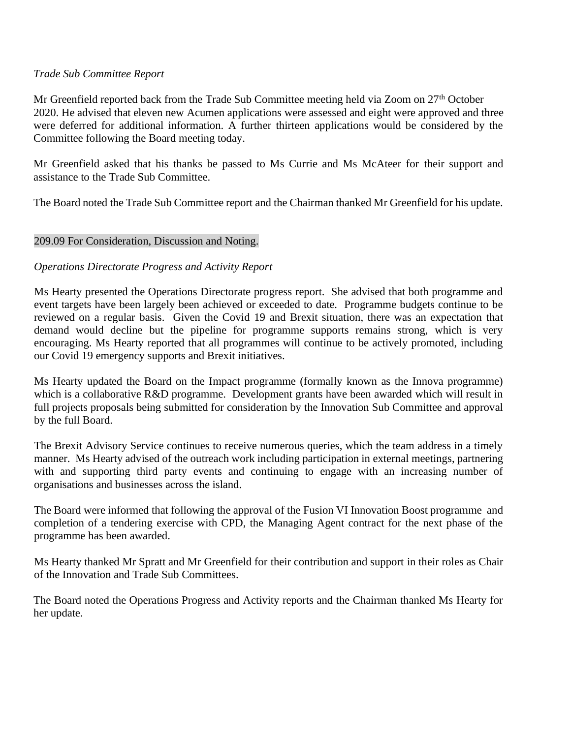### *Trade Sub Committee Report*

Mr Greenfield reported back from the Trade Sub Committee meeting held via Zoom on 27<sup>th</sup> October 2020. He advised that eleven new Acumen applications were assessed and eight were approved and three were deferred for additional information. A further thirteen applications would be considered by the Committee following the Board meeting today.

Mr Greenfield asked that his thanks be passed to Ms Currie and Ms McAteer for their support and assistance to the Trade Sub Committee.

The Board noted the Trade Sub Committee report and the Chairman thanked Mr Greenfield for his update.

## 209.09 For Consideration, Discussion and Noting.

### *Operations Directorate Progress and Activity Report*

Ms Hearty presented the Operations Directorate progress report. She advised that both programme and event targets have been largely been achieved or exceeded to date. Programme budgets continue to be reviewed on a regular basis. Given the Covid 19 and Brexit situation, there was an expectation that demand would decline but the pipeline for programme supports remains strong, which is very encouraging. Ms Hearty reported that all programmes will continue to be actively promoted, including our Covid 19 emergency supports and Brexit initiatives.

Ms Hearty updated the Board on the Impact programme (formally known as the Innova programme) which is a collaborative R&D programme. Development grants have been awarded which will result in full projects proposals being submitted for consideration by the Innovation Sub Committee and approval by the full Board.

The Brexit Advisory Service continues to receive numerous queries, which the team address in a timely manner. Ms Hearty advised of the outreach work including participation in external meetings, partnering with and supporting third party events and continuing to engage with an increasing number of organisations and businesses across the island.

The Board were informed that following the approval of the Fusion VI Innovation Boost programme and completion of a tendering exercise with CPD, the Managing Agent contract for the next phase of the programme has been awarded.

Ms Hearty thanked Mr Spratt and Mr Greenfield for their contribution and support in their roles as Chair of the Innovation and Trade Sub Committees.

The Board noted the Operations Progress and Activity reports and the Chairman thanked Ms Hearty for her update.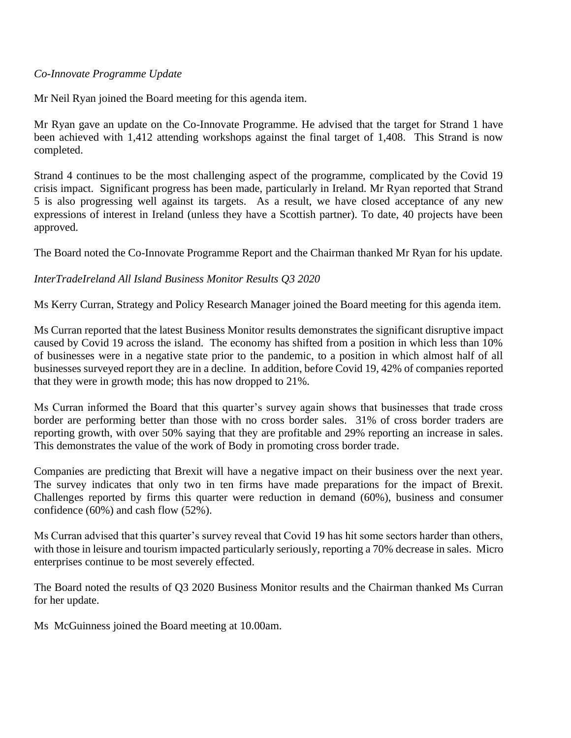### *Co-Innovate Programme Update*

Mr Neil Ryan joined the Board meeting for this agenda item.

Mr Ryan gave an update on the Co-Innovate Programme. He advised that the target for Strand 1 have been achieved with 1,412 attending workshops against the final target of 1,408. This Strand is now completed.

Strand 4 continues to be the most challenging aspect of the programme, complicated by the Covid 19 crisis impact. Significant progress has been made, particularly in Ireland. Mr Ryan reported that Strand 5 is also progressing well against its targets. As a result, we have closed acceptance of any new expressions of interest in Ireland (unless they have a Scottish partner). To date, 40 projects have been approved.

The Board noted the Co-Innovate Programme Report and the Chairman thanked Mr Ryan for his update.

## *InterTradeIreland All Island Business Monitor Results Q3 2020*

Ms Kerry Curran, Strategy and Policy Research Manager joined the Board meeting for this agenda item.

Ms Curran reported that the latest Business Monitor results demonstrates the significant disruptive impact caused by Covid 19 across the island. The economy has shifted from a position in which less than 10% of businesses were in a negative state prior to the pandemic, to a position in which almost half of all businesses surveyed report they are in a decline. In addition, before Covid 19, 42% of companies reported that they were in growth mode; this has now dropped to 21%.

Ms Curran informed the Board that this quarter's survey again shows that businesses that trade cross border are performing better than those with no cross border sales. 31% of cross border traders are reporting growth, with over 50% saying that they are profitable and 29% reporting an increase in sales. This demonstrates the value of the work of Body in promoting cross border trade.

Companies are predicting that Brexit will have a negative impact on their business over the next year. The survey indicates that only two in ten firms have made preparations for the impact of Brexit. Challenges reported by firms this quarter were reduction in demand (60%), business and consumer confidence (60%) and cash flow (52%).

Ms Curran advised that this quarter's survey reveal that Covid 19 has hit some sectors harder than others, with those in leisure and tourism impacted particularly seriously, reporting a 70% decrease in sales. Micro enterprises continue to be most severely effected.

The Board noted the results of Q3 2020 Business Monitor results and the Chairman thanked Ms Curran for her update.

Ms McGuinness joined the Board meeting at 10.00am.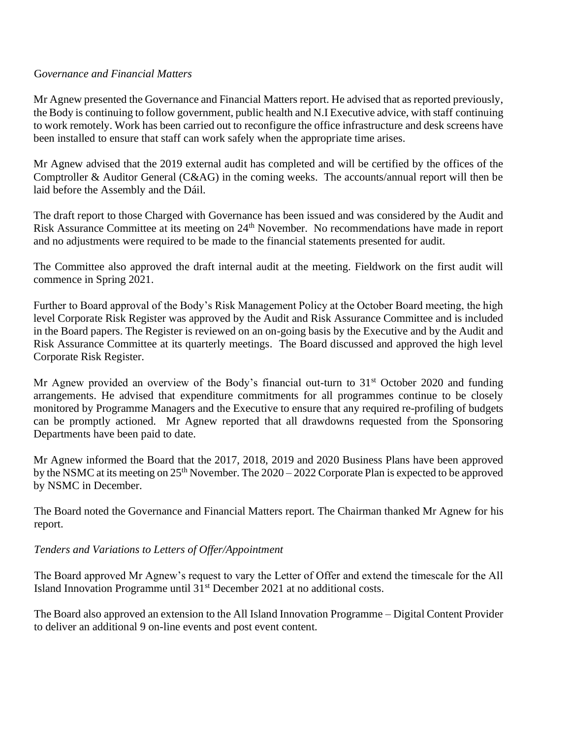### G*overnance and Financial Matters*

Mr Agnew presented the Governance and Financial Matters report. He advised that as reported previously, the Body is continuing to follow government, public health and N.I Executive advice, with staff continuing to work remotely. Work has been carried out to reconfigure the office infrastructure and desk screens have been installed to ensure that staff can work safely when the appropriate time arises.

Mr Agnew advised that the 2019 external audit has completed and will be certified by the offices of the Comptroller & Auditor General (C&AG) in the coming weeks. The accounts/annual report will then be laid before the Assembly and the Dáil.

The draft report to those Charged with Governance has been issued and was considered by the Audit and Risk Assurance Committee at its meeting on 24<sup>th</sup> November. No recommendations have made in report and no adjustments were required to be made to the financial statements presented for audit.

The Committee also approved the draft internal audit at the meeting. Fieldwork on the first audit will commence in Spring 2021.

Further to Board approval of the Body's Risk Management Policy at the October Board meeting, the high level Corporate Risk Register was approved by the Audit and Risk Assurance Committee and is included in the Board papers. The Register is reviewed on an on-going basis by the Executive and by the Audit and Risk Assurance Committee at its quarterly meetings. The Board discussed and approved the high level Corporate Risk Register.

Mr Agnew provided an overview of the Body's financial out-turn to  $31<sup>st</sup>$  October 2020 and funding arrangements. He advised that expenditure commitments for all programmes continue to be closely monitored by Programme Managers and the Executive to ensure that any required re-profiling of budgets can be promptly actioned. Mr Agnew reported that all drawdowns requested from the Sponsoring Departments have been paid to date.

Mr Agnew informed the Board that the 2017, 2018, 2019 and 2020 Business Plans have been approved by the NSMC at its meeting on 25<sup>th</sup> November. The 2020 – 2022 Corporate Plan is expected to be approved by NSMC in December.

The Board noted the Governance and Financial Matters report. The Chairman thanked Mr Agnew for his report.

## *Tenders and Variations to Letters of Offer/Appointment*

The Board approved Mr Agnew's request to vary the Letter of Offer and extend the timescale for the All Island Innovation Programme until 31st December 2021 at no additional costs.

The Board also approved an extension to the All Island Innovation Programme – Digital Content Provider to deliver an additional 9 on-line events and post event content.